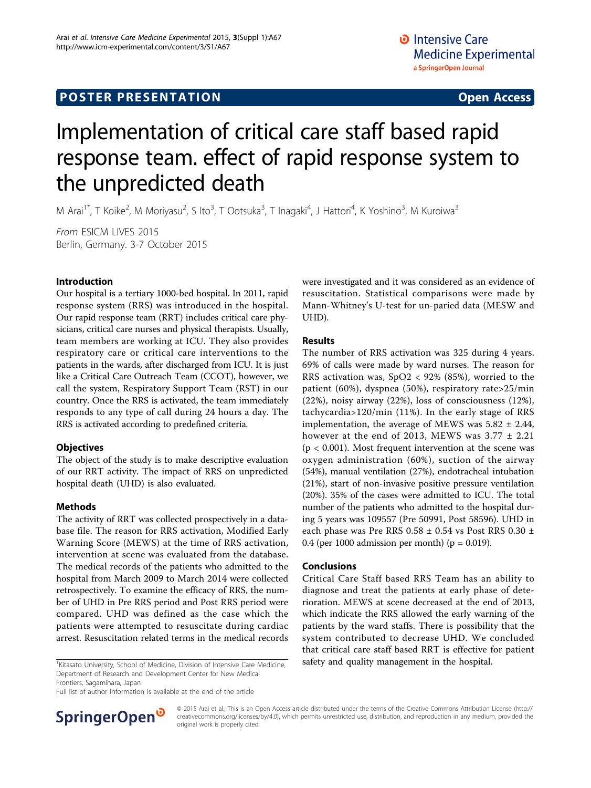# **POSTER PRESENTATION CONSUMING ACCESS**

# Implementation of critical care staff based rapid response team. effect of rapid response system to the unpredicted death

M Arai<sup>1\*</sup>, T Koike<sup>2</sup>, M Moriyasu<sup>2</sup>, S Ito<sup>3</sup>, T Ootsuka<sup>3</sup>, T Inagaki<sup>4</sup>, J Hattori<sup>4</sup>, K Yoshino<sup>3</sup>, M Kuroiwa<sup>3</sup>

From ESICM LIVES 2015 Berlin, Germany. 3-7 October 2015

## Introduction

Our hospital is a tertiary 1000-bed hospital. In 2011, rapid response system (RRS) was introduced in the hospital. Our rapid response team (RRT) includes critical care physicians, critical care nurses and physical therapists. Usually, team members are working at ICU. They also provides respiratory care or critical care interventions to the patients in the wards, after discharged from ICU. It is just like a Critical Care Outreach Team (CCOT), however, we call the system, Respiratory Support Team (RST) in our country. Once the RRS is activated, the team immediately responds to any type of call during 24 hours a day. The RRS is activated according to predefined criteria.

## **Objectives**

The object of the study is to make descriptive evaluation of our RRT activity. The impact of RRS on unpredicted hospital death (UHD) is also evaluated.

## Methods

The activity of RRT was collected prospectively in a database file. The reason for RRS activation, Modified Early Warning Score (MEWS) at the time of RRS activation, intervention at scene was evaluated from the database. The medical records of the patients who admitted to the hospital from March 2009 to March 2014 were collected retrospectively. To examine the efficacy of RRS, the number of UHD in Pre RRS period and Post RRS period were compared. UHD was defined as the case which the patients were attempted to resuscitate during cardiac arrest. Resuscitation related terms in the medical records

Department of Research and Development Center for New Medical Frontiers, Sagamihara, Japan

Full list of author information is available at the end of the article



were investigated and it was considered as an evidence of resuscitation. Statistical comparisons were made by Mann-Whitney's U-test for un-paried data (MESW and UHD).

## Results

The number of RRS activation was 325 during 4 years. 69% of calls were made by ward nurses. The reason for RRS activation was, SpO2 < 92% (85%), worried to the patient (60%), dyspnea (50%), respiratory rate>25/min (22%), noisy airway (22%), loss of consciousness (12%), tachycardia>120/min (11%). In the early stage of RRS implementation, the average of MEWS was  $5.82 \pm 2.44$ , however at the end of 2013, MEWS was  $3.77 \pm 2.21$  $(p < 0.001)$ . Most frequent intervention at the scene was oxygen administration (60%), suction of the airway (54%), manual ventilation (27%), endotracheal intubation (21%), start of non-invasive positive pressure ventilation (20%). 35% of the cases were admitted to ICU. The total number of the patients who admitted to the hospital during 5 years was 109557 (Pre 50991, Post 58596). UHD in each phase was Pre RRS 0.58 ± 0.54 vs Post RRS 0.30 ± 0.4 (per 1000 admission per month) ( $p = 0.019$ ).

## Conclusions

Critical Care Staff based RRS Team has an ability to diagnose and treat the patients at early phase of deterioration. MEWS at scene decreased at the end of 2013, which indicate the RRS allowed the early warning of the patients by the ward staffs. There is possibility that the system contributed to decrease UHD. We concluded that critical care staff based RRT is effective for patient  $\frac{1}{1}$ Kitasato University, School of Medicine, Division of Intensive Care Medicine, safety and quality management in the hospital.

> © 2015 Arai et al.; This is an Open Access article distributed under the terms of the Creative Commons Attribution License ([http://](http://creativecommons.org/licenses/by/4.0) [creativecommons.org/licenses/by/4.0](http://creativecommons.org/licenses/by/4.0)), which permits unrestricted use, distribution, and reproduction in any medium, provided the original work is properly cited.